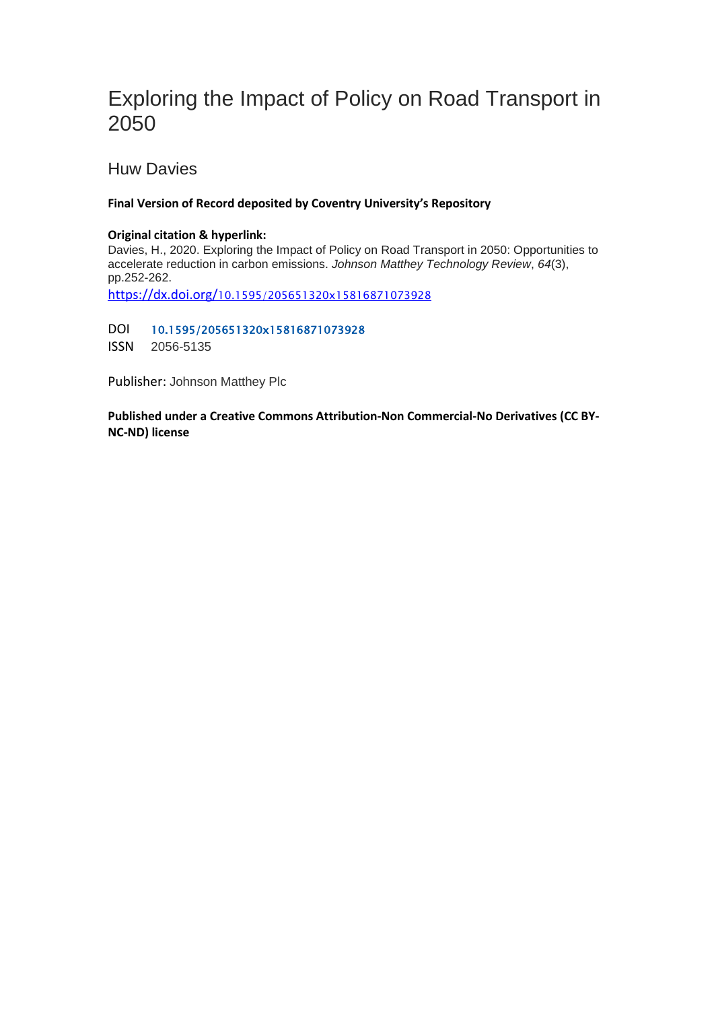# Exploring the Impact of Policy on Road Transport in 2050

Huw Davies

#### **Final Version of Record deposited by Coventry University's Repository**

#### **Original citation & hyperlink:**

Davies, H., 2020. Exploring the Impact of Policy on Road Transport in 2050: Opportunities to accelerate reduction in carbon emissions. *Johnson Matthey Technology Review*, *64*(3), pp.252-262.

https://dx.doi.org/[10.1595/205651320x15816871073928](https://dx.doi.org/10.1595/205651320x15816871073928) 

DOI 10.1595/205651320x15816871073928

ISSN 2056-5135

Publisher: Johnson Matthey Plc

**Published under a Creative Commons Attribution-Non Commercial-No Derivatives (CC BY-NC-ND) license**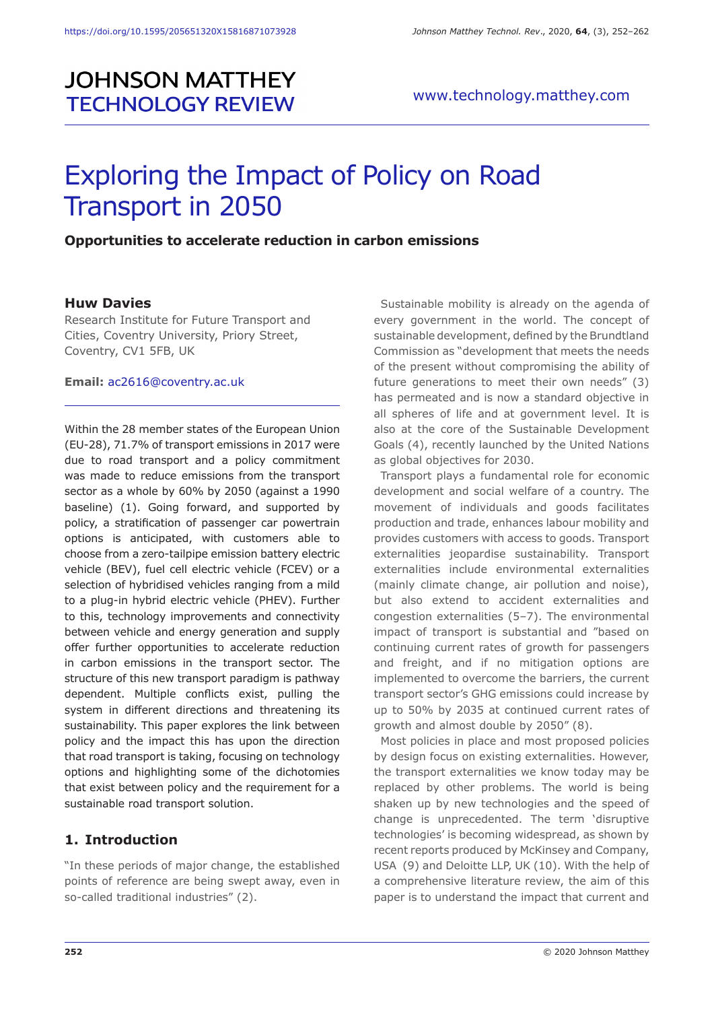# **JOHNSON MATTHEY TECHNOLOGY REVIEW**

# Exploring the Impact of Policy on Road Transport in 2050

#### **Opportunities to accelerate reduction in carbon emissions**

#### **Huw Davies**

Research Institute for Future Transport and Cities, Coventry University, Priory Street, Coventry, CV1 5FB, UK

#### **Email:** ac2616@coventry.ac.uk

Within the 28 member states of the European Union (EU-28), 71.7% of transport emissions in 2017 were due to road transport and a policy commitment was made to reduce emissions from the transport sector as a whole by 60% by 2050 (against a 1990 baseline) (1). Going forward, and supported by policy, a stratification of passenger car powertrain options is anticipated, with customers able to choose from a zero-tailpipe emission battery electric vehicle (BEV), fuel cell electric vehicle (FCEV) or a selection of hybridised vehicles ranging from a mild to a plug-in hybrid electric vehicle (PHEV). Further to this, technology improvements and connectivity between vehicle and energy generation and supply offer further opportunities to accelerate reduction in carbon emissions in the transport sector. The structure of this new transport paradigm is pathway dependent. Multiple conflicts exist, pulling the system in different directions and threatening its sustainability. This paper explores the link between policy and the impact this has upon the direction that road transport is taking, focusing on technology options and highlighting some of the dichotomies that exist between policy and the requirement for a sustainable road transport solution.

#### **1. Introduction**

"In these periods of major change, the established points of reference are being swept away, even in so-called traditional industries" (2).

Sustainable mobility is already on the agenda of every government in the world. The concept of sustainable development, defined by the Brundtland Commission as "development that meets the needs of the present without compromising the ability of future generations to meet their own needs" (3) has permeated and is now a standard objective in all spheres of life and at government level. It is also at the core of the Sustainable Development Goals (4), recently launched by the United Nations as global objectives for 2030.

Transport plays a fundamental role for economic development and social welfare of a country. The movement of individuals and goods facilitates production and trade, enhances labour mobility and provides customers with access to goods. Transport externalities jeopardise sustainability. Transport externalities include environmental externalities (mainly climate change, air pollution and noise), but also extend to accident externalities and congestion externalities (5–7). The environmental impact of transport is substantial and "based on continuing current rates of growth for passengers and freight, and if no mitigation options are implemented to overcome the barriers, the current transport sector's GHG emissions could increase by up to 50% by 2035 at continued current rates of growth and almost double by 2050" (8).

Most policies in place and most proposed policies by design focus on existing externalities. However, the transport externalities we know today may be replaced by other problems. The world is being shaken up by new technologies and the speed of change is unprecedented. The term 'disruptive technologies' is becoming widespread, as shown by recent reports produced by McKinsey and Company, USA (9) and Deloitte LLP, UK (10). With the help of a comprehensive literature review, the aim of this paper is to understand the impact that current and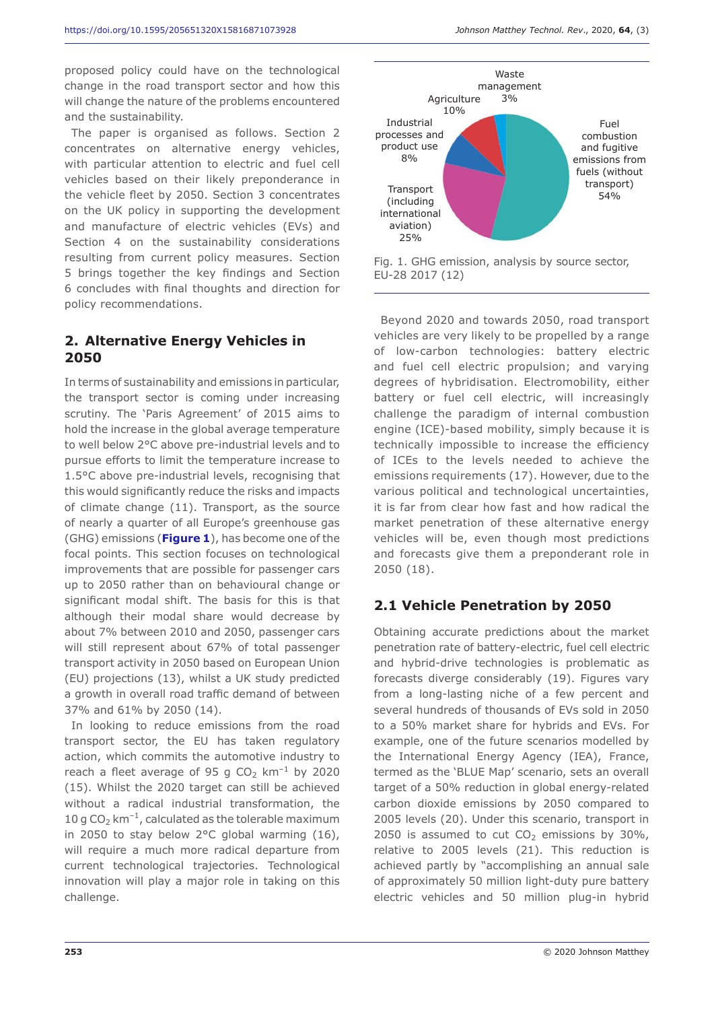proposed policy could have on the technological change in the road transport sector and how this will change the nature of the problems encountered and the sustainability.

The paper is organised as follows. Section 2 concentrates on alternative energy vehicles, with particular attention to electric and fuel cell vehicles based on their likely preponderance in the vehicle fleet by 2050. Section 3 concentrates on the UK policy in supporting the development and manufacture of electric vehicles (EVs) and Section 4 on the sustainability considerations resulting from current policy measures. Section 5 brings together the key findings and Section 6 concludes with final thoughts and direction for policy recommendations.

# **2. Alternative Energy Vehicles in 2050**

In terms of sustainability and emissions in particular, the transport sector is coming under increasing scrutiny. The 'Paris Agreement' of 2015 aims to hold the increase in the global average temperature to well below 2°C above pre-industrial levels and to pursue efforts to limit the temperature increase to 1.5°C above pre-industrial levels, recognising that this would significantly reduce the risks and impacts of climate change (11). Transport, as the source of nearly a quarter of all Europe's greenhouse gas (GHG) emissions (**Figure 1**), has become one of the focal points. This section focuses on technological improvements that are possible for passenger cars up to 2050 rather than on behavioural change or significant modal shift. The basis for this is that although their modal share would decrease by about 7% between 2010 and 2050, passenger cars will still represent about 67% of total passenger transport activity in 2050 based on European Union (EU) projections (13), whilst a UK study predicted a growth in overall road traffic demand of between 37% and 61% by 2050 (14).

In looking to reduce emissions from the road transport sector, the EU has taken regulatory action, which commits the automotive industry to reach a fleet average of 95 g CO<sub>2</sub> km<sup>-1</sup> by 2020 (15). Whilst the 2020 target can still be achieved without a radical industrial transformation, the 10 g CO<sub>2</sub> km<sup>-1</sup>, calculated as the tolerable maximum in 2050 to stay below 2°C global warming (16), will require a much more radical departure from current technological trajectories. Technological innovation will play a major role in taking on this challenge.



Fig. 1. GHG emission, analysis by source sector, EU-28 2017 (12)

Beyond 2020 and towards 2050, road transport vehicles are very likely to be propelled by a range of low-carbon technologies: battery electric and fuel cell electric propulsion; and varying degrees of hybridisation. Electromobility, either battery or fuel cell electric, will increasingly challenge the paradigm of internal combustion engine (ICE)-based mobility, simply because it is technically impossible to increase the efficiency of ICEs to the levels needed to achieve the emissions requirements (17). However, due to the various political and technological uncertainties, it is far from clear how fast and how radical the market penetration of these alternative energy vehicles will be, even though most predictions and forecasts give them a preponderant role in 2050 (18).

# **2.1 Vehicle Penetration by 2050**

Obtaining accurate predictions about the market penetration rate of battery-electric, fuel cell electric and hybrid-drive technologies is problematic as forecasts diverge considerably (19). Figures vary from a long-lasting niche of a few percent and several hundreds of thousands of EVs sold in 2050 to a 50% market share for hybrids and EVs. For example, one of the future scenarios modelled by the International Energy Agency (IEA), France, termed as the 'BLUE Map' scenario, sets an overall target of a 50% reduction in global energy-related carbon dioxide emissions by 2050 compared to 2005 levels (20). Under this scenario, transport in 2050 is assumed to cut  $CO<sub>2</sub>$  emissions by 30%, relative to 2005 levels (21). This reduction is achieved partly by "accomplishing an annual sale of approximately 50 million light-duty pure battery electric vehicles and 50 million plug-in hybrid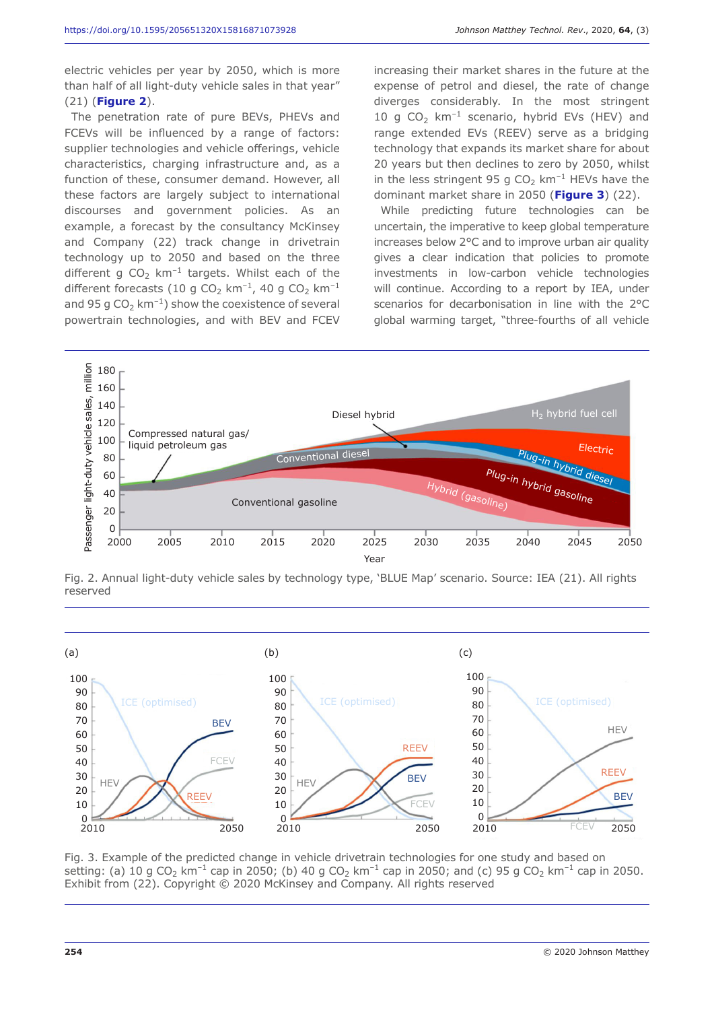electric vehicles per year by 2050, which is more than half of all light-duty vehicle sales in that year" (21) (**Figure 2**).

The penetration rate of pure BEVs, PHEVs and FCEVs will be influenced by a range of factors: supplier technologies and vehicle offerings, vehicle characteristics, charging infrastructure and, as a function of these, consumer demand. However, all these factors are largely subject to international discourses and government policies. As an example, a forecast by the consultancy McKinsey and Company (22) track change in drivetrain technology up to 2050 and based on the three different g  $CO<sub>2</sub>$  km<sup>-1</sup> targets. Whilst each of the different forecasts (10 g CO<sub>2</sub> km<sup>-1</sup>, 40 g CO<sub>2</sub> km<sup>-1</sup> and 95 g  $CO<sub>2</sub>$  km<sup>-1</sup>) show the coexistence of several powertrain technologies, and with BEV and FCEV increasing their market shares in the future at the expense of petrol and diesel, the rate of change diverges considerably. In the most stringent 10 g CO<sub>2</sub> km<sup>-1</sup> scenario, hybrid EVs (HEV) and range extended EVs (REEV) serve as a bridging technology that expands its market share for about 20 years but then declines to zero by 2050, whilst in the less stringent 95 g  $CO<sub>2</sub>$  km<sup>-1</sup> HEVs have the dominant market share in 2050 (**Figure 3**) (22).

While predicting future technologies can be uncertain, the imperative to keep global temperature increases below 2°C and to improve urban air quality gives a clear indication that policies to promote investments in low-carbon vehicle technologies will continue. According to a report by IEA, under scenarios for decarbonisation in line with the 2°C global warming target, "three-fourths of all vehicle



Fig. 2. Annual light-duty vehicle sales by technology type, 'BLUE Map' scenario. Source: IEA (21). All rights reserved



Fig. 3. Example of the predicted change in vehicle drivetrain technologies for one study and based on setting: (a) 10 g CO<sub>2</sub> km<sup>-1</sup> cap in 2050; (b) 40 g CO<sub>2</sub> km<sup>-1</sup> cap in 2050; and (c) 95 g CO<sub>2</sub> km<sup>-1</sup> cap in 2050. Exhibit from (22). Copyright © 2020 McKinsey and Company. All rights reserved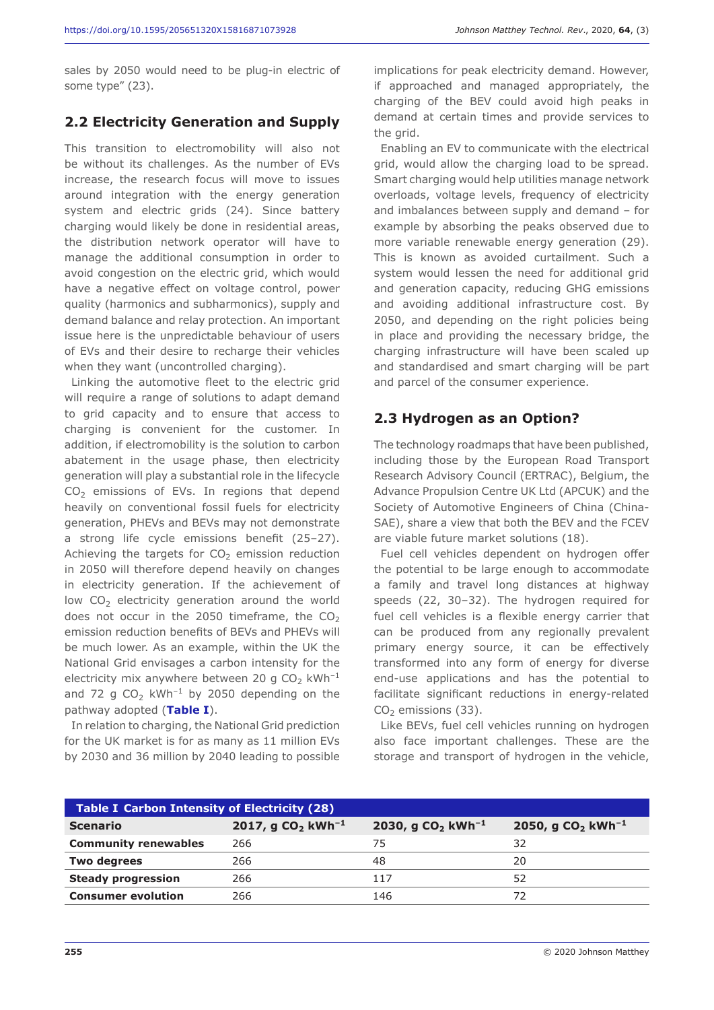sales by 2050 would need to be plug-in electric of some type" (23).

#### **2.2 Electricity Generation and Supply**

This transition to electromobility will also not be without its challenges. As the number of EVs increase, the research focus will move to issues around integration with the energy generation system and electric grids (24). Since battery charging would likely be done in residential areas, the distribution network operator will have to manage the additional consumption in order to avoid congestion on the electric grid, which would have a negative effect on voltage control, power quality (harmonics and subharmonics), supply and demand balance and relay protection. An important issue here is the unpredictable behaviour of users of EVs and their desire to recharge their vehicles when they want (uncontrolled charging).

Linking the automotive fleet to the electric grid will require a range of solutions to adapt demand to grid capacity and to ensure that access to charging is convenient for the customer. In addition, if electromobility is the solution to carbon abatement in the usage phase, then electricity generation will play a substantial role in the lifecycle  $CO<sub>2</sub>$  emissions of EVs. In regions that depend heavily on conventional fossil fuels for electricity generation, PHEVs and BEVs may not demonstrate a strong life cycle emissions benefit (25–27). Achieving the targets for  $CO<sub>2</sub>$  emission reduction in 2050 will therefore depend heavily on changes in electricity generation. If the achievement of low  $CO<sub>2</sub>$  electricity generation around the world does not occur in the 2050 timeframe, the  $CO<sub>2</sub>$ emission reduction benefits of BEVs and PHEVs will be much lower. As an example, within the UK the National Grid envisages a carbon intensity for the electricity mix anywhere between 20 g  $CO<sub>2</sub>$  kWh<sup>-1</sup> and 72 g CO<sub>2</sub> kWh<sup>-1</sup> by 2050 depending on the pathway adopted (**Table I**).

In relation to charging, the National Grid prediction for the UK market is for as many as 11 million EVs by 2030 and 36 million by 2040 leading to possible

implications for peak electricity demand. However, if approached and managed appropriately, the charging of the BEV could avoid high peaks in demand at certain times and provide services to the grid.

Enabling an EV to communicate with the electrical grid, would allow the charging load to be spread. Smart charging would help utilities manage network overloads, voltage levels, frequency of electricity and imbalances between supply and demand – for example by absorbing the peaks observed due to more variable renewable energy generation (29). This is known as avoided curtailment. Such a system would lessen the need for additional grid and generation capacity, reducing GHG emissions and avoiding additional infrastructure cost. By 2050, and depending on the right policies being in place and providing the necessary bridge, the charging infrastructure will have been scaled up and standardised and smart charging will be part and parcel of the consumer experience.

#### **2.3 Hydrogen as an Option?**

The technology roadmaps that have been published, including those by the European Road Transport Research Advisory Council (ERTRAC), Belgium, the Advance Propulsion Centre UK Ltd (APCUK) and the Society of Automotive Engineers of China (China-SAE), share a view that both the BEV and the FCEV are viable future market solutions (18).

Fuel cell vehicles dependent on hydrogen offer the potential to be large enough to accommodate a family and travel long distances at highway speeds (22, 30–32). The hydrogen required for fuel cell vehicles is a flexible energy carrier that can be produced from any regionally prevalent primary energy source, it can be effectively transformed into any form of energy for diverse end-use applications and has the potential to facilitate significant reductions in energy-related  $CO<sub>2</sub>$  emissions (33).

Like BEVs, fuel cell vehicles running on hydrogen also face important challenges. These are the storage and transport of hydrogen in the vehicle,

| <b>Table I Carbon Intensity of Electricity (28)</b> |                                    |                                    |                                           |  |  |  |  |  |
|-----------------------------------------------------|------------------------------------|------------------------------------|-------------------------------------------|--|--|--|--|--|
| <b>Scenario</b>                                     | 2017, g CO <sub>2</sub> $kWh^{-1}$ | 2030, g CO <sub>2</sub> $kWh^{-1}$ | 2050, g CO <sub>2</sub> kWh <sup>-1</sup> |  |  |  |  |  |
| <b>Community renewables</b>                         | 266                                | 75                                 | 32                                        |  |  |  |  |  |
| <b>Two degrees</b>                                  | 266                                | 48                                 | 20                                        |  |  |  |  |  |
| <b>Steady progression</b>                           | 266                                | 117                                | 52                                        |  |  |  |  |  |
| <b>Consumer evolution</b>                           | 266                                | 146                                | 72                                        |  |  |  |  |  |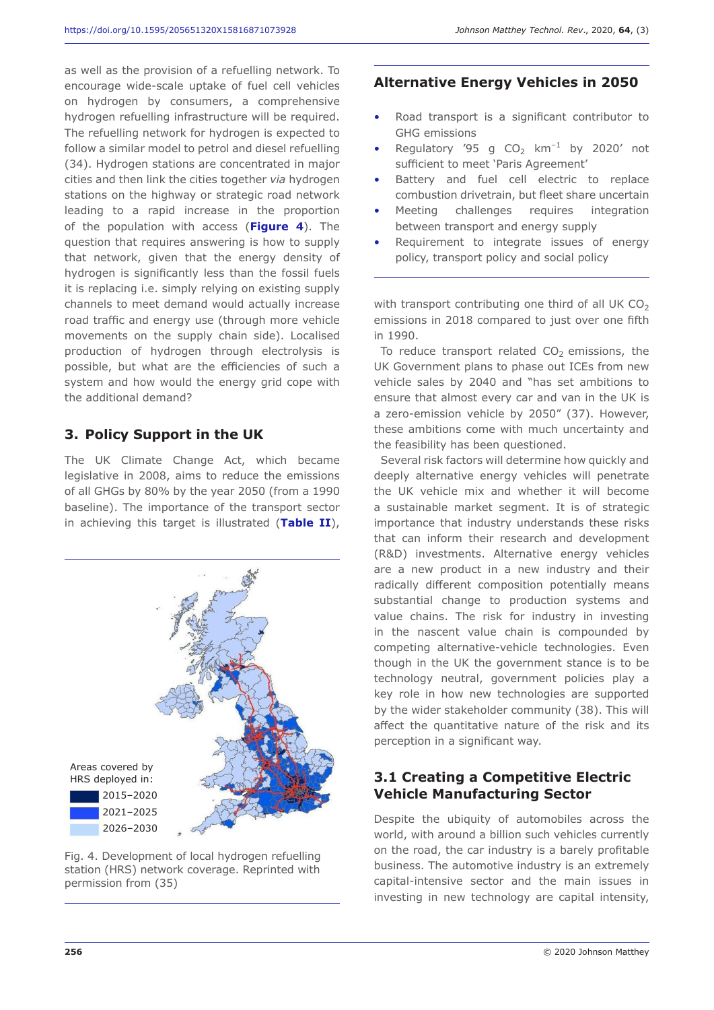as well as the provision of a refuelling network. To encourage wide-scale uptake of fuel cell vehicles on hydrogen by consumers, a comprehensive hydrogen refuelling infrastructure will be required. The refuelling network for hydrogen is expected to follow a similar model to petrol and diesel refuelling (34). Hydrogen stations are concentrated in major cities and then link the cities together *via* hydrogen stations on the highway or strategic road network leading to a rapid increase in the proportion of the population with access (**Figure 4**). The question that requires answering is how to supply that network, given that the energy density of hydrogen is significantly less than the fossil fuels it is replacing i.e. simply relying on existing supply channels to meet demand would actually increase road traffic and energy use (through more vehicle movements on the supply chain side). Localised production of hydrogen through electrolysis is possible, but what are the efficiencies of such a system and how would the energy grid cope with the additional demand?

#### **3. Policy Support in the UK**

The UK Climate Change Act, which became legislative in 2008, aims to reduce the emissions of all GHGs by 80% by the year 2050 (from a 1990 baseline). The importance of the transport sector in achieving this target is illustrated (**Table II**),



Fig. 4. Development of local hydrogen refuelling station (HRS) network coverage. Reprinted with permission from (35)

#### **Alternative Energy Vehicles in 2050**

- Road transport is a significant contributor to GHG emissions
- Regulatory '95 g CO<sub>2</sub> km<sup>-1</sup> by 2020' not sufficient to meet 'Paris Agreement'
- Battery and fuel cell electric to replace combustion drivetrain, but fleet share uncertain
- Meeting challenges requires integration between transport and energy supply
- Requirement to integrate issues of energy policy, transport policy and social policy

with transport contributing one third of all UK  $CO<sub>2</sub>$ emissions in 2018 compared to just over one fifth in 1990.

To reduce transport related  $CO<sub>2</sub>$  emissions, the UK Government plans to phase out ICEs from new vehicle sales by 2040 and "has set ambitions to ensure that almost every car and van in the UK is a zero-emission vehicle by 2050" (37). However, these ambitions come with much uncertainty and the feasibility has been questioned.

Several risk factors will determine how quickly and deeply alternative energy vehicles will penetrate the UK vehicle mix and whether it will become a sustainable market segment. It is of strategic importance that industry understands these risks that can inform their research and development (R&D) investments. Alternative energy vehicles are a new product in a new industry and their radically different composition potentially means substantial change to production systems and value chains. The risk for industry in investing in the nascent value chain is compounded by competing alternative-vehicle technologies. Even though in the UK the government stance is to be technology neutral, government policies play a key role in how new technologies are supported by the wider stakeholder community (38). This will affect the quantitative nature of the risk and its perception in a significant way.

#### **3.1 Creating a Competitive Electric Vehicle Manufacturing Sector**

Despite the ubiquity of automobiles across the world, with around a billion such vehicles currently on the road, the car industry is a barely profitable business. The automotive industry is an extremely capital-intensive sector and the main issues in investing in new technology are capital intensity,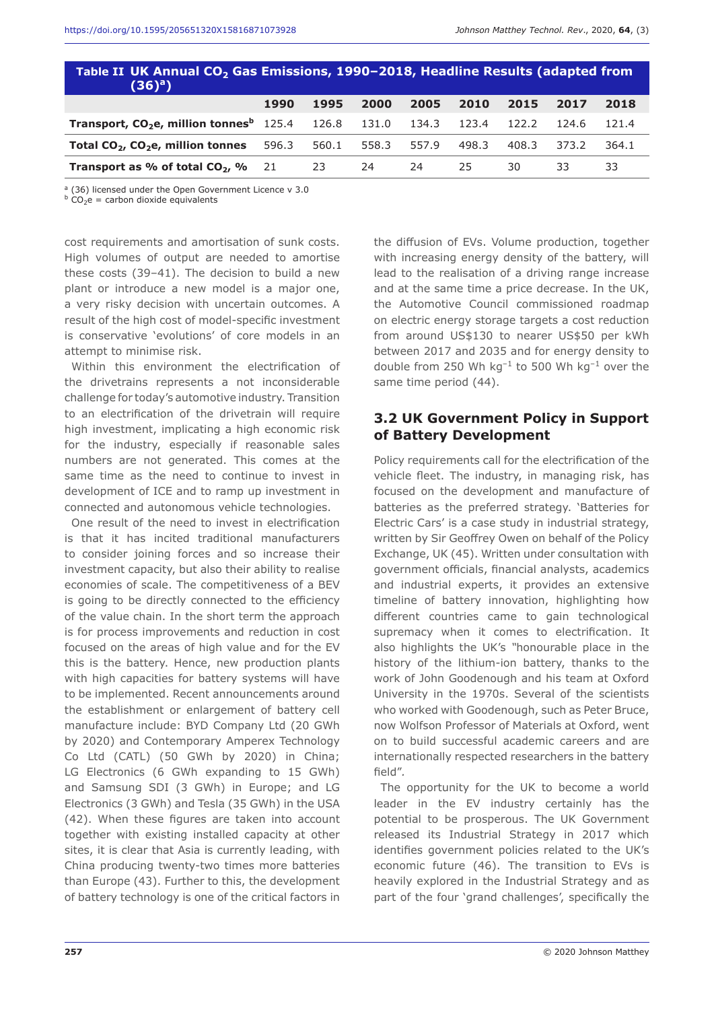| Table II UK Annual CO <sub>2</sub> Gas Emissions, 1990-2018, Headline Results (adapted from<br>$(36)^{a}$ |      |       |       |       |       |       |       |       |  |  |
|-----------------------------------------------------------------------------------------------------------|------|-------|-------|-------|-------|-------|-------|-------|--|--|
|                                                                                                           | 1990 | 1995  | 2000  | 2005  | 2010  | 2015  | 2017  | 2018  |  |  |
| Transport, CO <sub>2</sub> e, million tonnes <sup>b</sup> 125.4 126.8 131.0 134.3 123.4                   |      |       |       |       |       | 122.2 | 124.6 | 121.4 |  |  |
| Total $CO2$ , $CO2e$ , million tonnes $596.3$                                                             |      | 560.1 | 558.3 | 557.9 | 498.3 | 408.3 | 373.2 | 364.1 |  |  |
| <b>Transport as % of total <math>CO2</math>, %</b> 21 23                                                  |      |       | 24    | 24    | 25.   | 30    | 33    | 33    |  |  |

<sup>a</sup> (36) licensed under the Open Government Licence v 3.0

 $\overrightarrow{b} CO_2e$  = carbon dioxide equivalents

cost requirements and amortisation of sunk costs. High volumes of output are needed to amortise these costs (39–41). The decision to build a new plant or introduce a new model is a major one, a very risky decision with uncertain outcomes. A result of the high cost of model-specific investment is conservative 'evolutions' of core models in an attempt to minimise risk.

Within this environment the electrification of the drivetrains represents a not inconsiderable challenge for today's automotive industry. Transition to an electrification of the drivetrain will require high investment, implicating a high economic risk for the industry, especially if reasonable sales numbers are not generated. This comes at the same time as the need to continue to invest in development of ICE and to ramp up investment in connected and autonomous vehicle technologies.

One result of the need to invest in electrification is that it has incited traditional manufacturers to consider joining forces and so increase their investment capacity, but also their ability to realise economies of scale. The competitiveness of a BEV is going to be directly connected to the efficiency of the value chain. In the short term the approach is for process improvements and reduction in cost focused on the areas of high value and for the EV this is the battery. Hence, new production plants with high capacities for battery systems will have to be implemented. Recent announcements around the establishment or enlargement of battery cell manufacture include: BYD Company Ltd (20 GWh by 2020) and Contemporary Amperex Technology Co Ltd (CATL) (50 GWh by 2020) in China; LG Electronics (6 GWh expanding to 15 GWh) and Samsung SDI (3 GWh) in Europe; and LG Electronics (3 GWh) and Tesla (35 GWh) in the USA (42). When these figures are taken into account together with existing installed capacity at other sites, it is clear that Asia is currently leading, with China producing twenty-two times more batteries than Europe (43). Further to this, the development of battery technology is one of the critical factors in

the diffusion of EVs. Volume production, together with increasing energy density of the battery, will lead to the realisation of a driving range increase and at the same time a price decrease. In the UK, the Automotive Council commissioned roadmap on electric energy storage targets a cost reduction from around US\$130 to nearer US\$50 per kWh between 2017 and 2035 and for energy density to double from 250 Wh kg<sup>-1</sup> to 500 Wh kg<sup>-1</sup> over the same time period (44).

## **3.2 UK Government Policy in Support of Battery Development**

Policy requirements call for the electrification of the vehicle fleet. The industry, in managing risk, has focused on the development and manufacture of batteries as the preferred strategy. 'Batteries for Electric Cars' is a case study in industrial strategy, written by Sir Geoffrey Owen on behalf of the Policy Exchange, UK (45). Written under consultation with government officials, financial analysts, academics and industrial experts, it provides an extensive timeline of battery innovation, highlighting how different countries came to gain technological supremacy when it comes to electrification. It also highlights the UK's *"*honourable place in the history of the lithium-ion battery, thanks to the work of John Goodenough and his team at Oxford University in the 1970s. Several of the scientists who worked with Goodenough, such as Peter Bruce, now Wolfson Professor of Materials at Oxford, went on to build successful academic careers and are internationally respected researchers in the battery field"*.*

The opportunity for the UK to become a world leader in the EV industry certainly has the potential to be prosperous. The UK Government released its Industrial Strategy in 2017 which identifies government policies related to the UK's economic future (46). The transition to EVs is heavily explored in the Industrial Strategy and as part of the four 'grand challenges', specifically the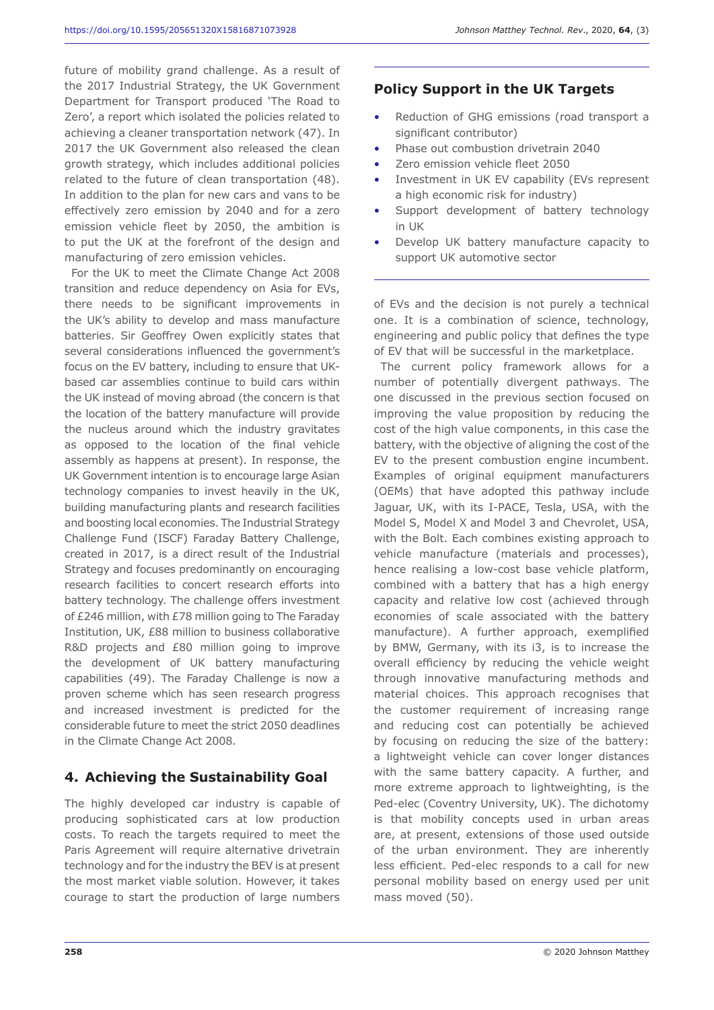future of mobility grand challenge. As a result of the 2017 Industrial Strategy, the UK Government Department for Transport produced 'The Road to Zero', a report which isolated the policies related to achieving a cleaner transportation network (47). In 2017 the UK Government also released the clean growth strategy, which includes additional policies related to the future of clean transportation (48). In addition to the plan for new cars and vans to be effectively zero emission by 2040 and for a zero emission vehicle fleet by 2050, the ambition is to put the UK at the forefront of the design and manufacturing of zero emission vehicles.

For the UK to meet the Climate Change Act 2008 transition and reduce dependency on Asia for EVs, there needs to be significant improvements in the UK's ability to develop and mass manufacture batteries. Sir Geoffrey Owen explicitly states that several considerations influenced the government's focus on the EV battery, including to ensure that UKbased car assemblies continue to build cars within the UK instead of moving abroad (the concern is that the location of the battery manufacture will provide the nucleus around which the industry gravitates as opposed to the location of the final vehicle assembly as happens at present). In response, the UK Government intention is to encourage large Asian technology companies to invest heavily in the UK, building manufacturing plants and research facilities and boosting local economies. The Industrial Strategy Challenge Fund (ISCF) Faraday Battery Challenge, created in 2017, is a direct result of the Industrial Strategy and focuses predominantly on encouraging research facilities to concert research efforts into battery technology. The challenge offers investment of £246 million, with £78 million going to The Faraday Institution, UK, £88 million to business collaborative R&D projects and £80 million going to improve the development of UK battery manufacturing capabilities (49). The Faraday Challenge is now a proven scheme which has seen research progress and increased investment is predicted for the considerable future to meet the strict 2050 deadlines in the Climate Change Act 2008.

# **4. Achieving the Sustainability Goal**

The highly developed car industry is capable of producing sophisticated cars at low production costs. To reach the targets required to meet the Paris Agreement will require alternative drivetrain technology and for the industry the BEV is at present the most market viable solution. However, it takes courage to start the production of large numbers

## **Policy Support in the UK Targets**

- Reduction of GHG emissions (road transport a significant contributor)
- Phase out combustion drivetrain 2040
- Zero emission vehicle fleet 2050
- Investment in UK EV capability (EVs represent a high economic risk for industry)
- Support development of battery technology in UK
- Develop UK battery manufacture capacity to support UK automotive sector

of EVs and the decision is not purely a technical one. It is a combination of science, technology, engineering and public policy that defines the type of EV that will be successful in the marketplace.

The current policy framework allows for a number of potentially divergent pathways. The one discussed in the previous section focused on improving the value proposition by reducing the cost of the high value components, in this case the battery, with the objective of aligning the cost of the EV to the present combustion engine incumbent. Examples of original equipment manufacturers (OEMs) that have adopted this pathway include Jaguar, UK, with its I-PACE, Tesla, USA, with the Model S, Model X and Model 3 and Chevrolet, USA, with the Bolt. Each combines existing approach to vehicle manufacture (materials and processes), hence realising a low-cost base vehicle platform, combined with a battery that has a high energy capacity and relative low cost (achieved through economies of scale associated with the battery manufacture). A further approach, exemplified by BMW, Germany, with its i3, is to increase the overall efficiency by reducing the vehicle weight through innovative manufacturing methods and material choices. This approach recognises that the customer requirement of increasing range and reducing cost can potentially be achieved by focusing on reducing the size of the battery: a lightweight vehicle can cover longer distances with the same battery capacity. A further, and more extreme approach to lightweighting, is the Ped-elec (Coventry University, UK). The dichotomy is that mobility concepts used in urban areas are, at present, extensions of those used outside of the urban environment. They are inherently less efficient. Ped-elec responds to a call for new personal mobility based on energy used per unit mass moved (50).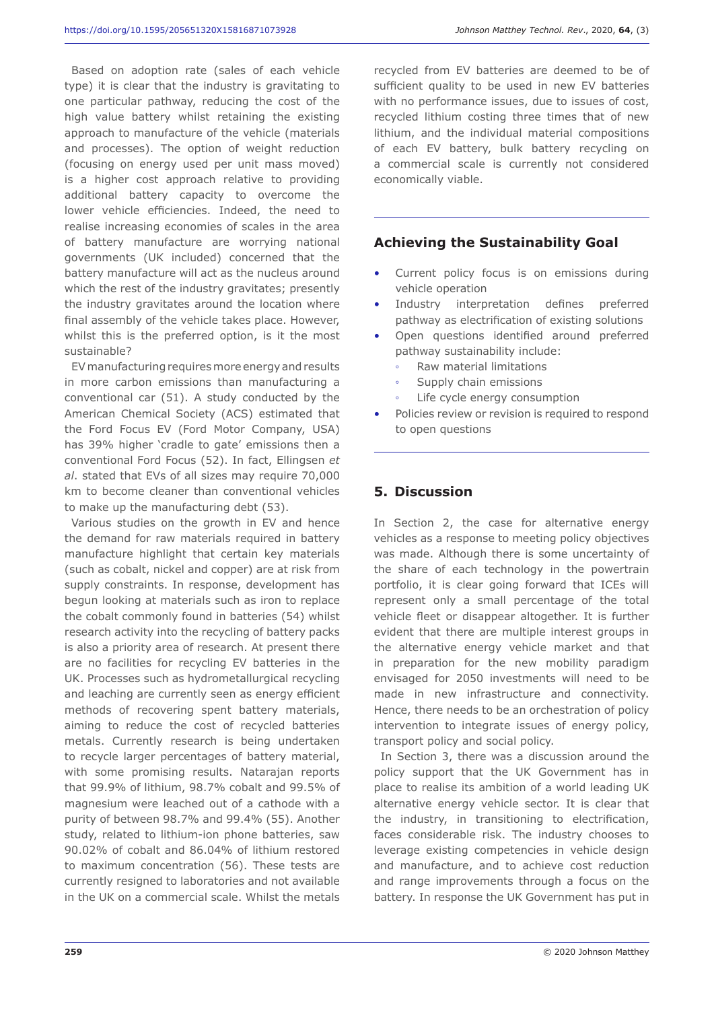Based on adoption rate (sales of each vehicle type) it is clear that the industry is gravitating to one particular pathway, reducing the cost of the high value battery whilst retaining the existing approach to manufacture of the vehicle (materials and processes). The option of weight reduction (focusing on energy used per unit mass moved) is a higher cost approach relative to providing additional battery capacity to overcome the lower vehicle efficiencies. Indeed, the need to realise increasing economies of scales in the area of battery manufacture are worrying national governments (UK included) concerned that the battery manufacture will act as the nucleus around which the rest of the industry gravitates; presently the industry gravitates around the location where final assembly of the vehicle takes place. However, whilst this is the preferred option, is it the most sustainable?

EV manufacturing requires more energy and results in more carbon emissions than manufacturing a conventional car (51). A study conducted by the American Chemical Society (ACS) estimated that the Ford Focus EV (Ford Motor Company, USA) has 39% higher 'cradle to gate' emissions then a conventional Ford Focus (52). In fact, Ellingsen *et al*. stated that EVs of all sizes may require 70,000 km to become cleaner than conventional vehicles to make up the manufacturing debt (53).

Various studies on the growth in EV and hence the demand for raw materials required in battery manufacture highlight that certain key materials (such as cobalt, nickel and copper) are at risk from supply constraints. In response, development has begun looking at materials such as iron to replace the cobalt commonly found in batteries (54) whilst research activity into the recycling of battery packs is also a priority area of research. At present there are no facilities for recycling EV batteries in the UK. Processes such as hydrometallurgical recycling and leaching are currently seen as energy efficient methods of recovering spent battery materials, aiming to reduce the cost of recycled batteries metals. Currently research is being undertaken to recycle larger percentages of battery material, with some promising results. Natarajan reports that 99.9% of lithium, 98.7% cobalt and 99.5% of magnesium were leached out of a cathode with a purity of between 98.7% and 99.4% (55). Another study, related to lithium-ion phone batteries, saw 90.02% of cobalt and 86.04% of lithium restored to maximum concentration (56). These tests are currently resigned to laboratories and not available in the UK on a commercial scale. Whilst the metals

recycled from EV batteries are deemed to be of sufficient quality to be used in new EV batteries with no performance issues, due to issues of cost, recycled lithium costing three times that of new lithium, and the individual material compositions of each EV battery, bulk battery recycling on a commercial scale is currently not considered economically viable.

#### **Achieving the Sustainability Goal**

- Current policy focus is on emissions during vehicle operation
- Industry interpretation defines preferred pathway as electrification of existing solutions
- Open questions identified around preferred pathway sustainability include:
	- Raw material limitations
	- Supply chain emissions
	- Life cycle energy consumption
- Policies review or revision is required to respond to open questions

#### **5. Discussion**

In Section 2, the case for alternative energy vehicles as a response to meeting policy objectives was made. Although there is some uncertainty of the share of each technology in the powertrain portfolio, it is clear going forward that ICEs will represent only a small percentage of the total vehicle fleet or disappear altogether. It is further evident that there are multiple interest groups in the alternative energy vehicle market and that in preparation for the new mobility paradigm envisaged for 2050 investments will need to be made in new infrastructure and connectivity. Hence, there needs to be an orchestration of policy intervention to integrate issues of energy policy, transport policy and social policy.

In Section 3, there was a discussion around the policy support that the UK Government has in place to realise its ambition of a world leading UK alternative energy vehicle sector. It is clear that the industry, in transitioning to electrification, faces considerable risk. The industry chooses to leverage existing competencies in vehicle design and manufacture, and to achieve cost reduction and range improvements through a focus on the battery. In response the UK Government has put in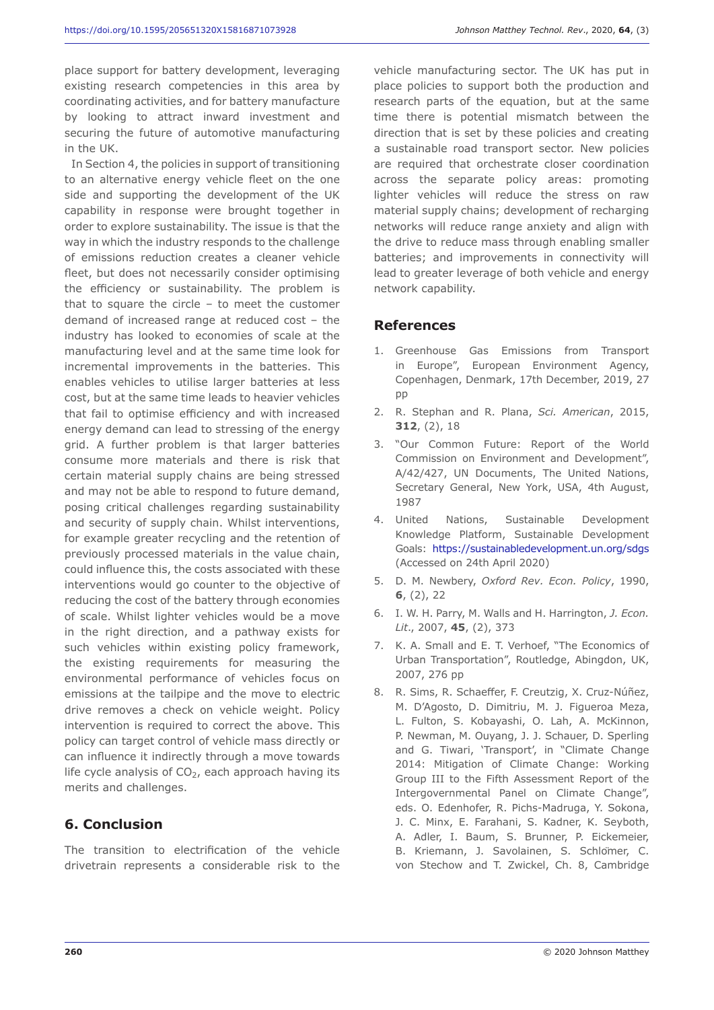place support for battery development, leveraging existing research competencies in this area by coordinating activities, and for battery manufacture by looking to attract inward investment and securing the future of automotive manufacturing in the UK.

In Section 4, the policies in support of transitioning to an alternative energy vehicle fleet on the one side and supporting the development of the UK capability in response were brought together in order to explore sustainability. The issue is that the way in which the industry responds to the challenge of emissions reduction creates a cleaner vehicle fleet, but does not necessarily consider optimising the efficiency or sustainability. The problem is that to square the circle – to meet the customer demand of increased range at reduced cost – the industry has looked to economies of scale at the manufacturing level and at the same time look for incremental improvements in the batteries. This enables vehicles to utilise larger batteries at less cost, but at the same time leads to heavier vehicles that fail to optimise efficiency and with increased energy demand can lead to stressing of the energy grid. A further problem is that larger batteries consume more materials and there is risk that certain material supply chains are being stressed and may not be able to respond to future demand, posing critical challenges regarding sustainability and security of supply chain. Whilst interventions, for example greater recycling and the retention of previously processed materials in the value chain, could influence this, the costs associated with these interventions would go counter to the objective of reducing the cost of the battery through economies of scale. Whilst lighter vehicles would be a move in the right direction, and a pathway exists for such vehicles within existing policy framework, the existing requirements for measuring the environmental performance of vehicles focus on emissions at the tailpipe and the move to electric drive removes a check on vehicle weight. Policy intervention is required to correct the above. This policy can target control of vehicle mass directly or can influence it indirectly through a move towards life cycle analysis of  $CO<sub>2</sub>$ , each approach having its merits and challenges.

### **6. Conclusion**

The transition to electrification of the vehicle drivetrain represents a considerable risk to the vehicle manufacturing sector. The UK has put in place policies to support both the production and research parts of the equation, but at the same time there is potential mismatch between the direction that is set by these policies and creating a sustainable road transport sector. New policies are required that orchestrate closer coordination across the separate policy areas: promoting lighter vehicles will reduce the stress on raw material supply chains; development of recharging networks will reduce range anxiety and align with the drive to reduce mass through enabling smaller batteries; and improvements in connectivity will lead to greater leverage of both vehicle and energy network capability.

#### **References**

- 1. Greenhouse Gas Emissions from Transport in Europe", European Environment Agency, Copenhagen, Denmark, 17th December, 2019, 27 pp
- 2. R. Stephan and R. Plana, *Sci. American*, 2015, **312**, (2), 18
- 3. "Our Common Future: Report of the World Commission on Environment and Development", A/42/427, UN Documents, The United Nations, Secretary General, New York, USA, 4th August, 1987
- 4. United Nations, Sustainable Development Knowledge Platform, Sustainable Development Goals: https://sustainabledevelopment.un.org/sdgs (Accessed on 24th April 2020)
- 5. D. M. Newbery, *Oxford Rev. Econ. Policy*, 1990, **6**, (2), 22
- 6. I. W. H. Parry, M. Walls and H. Harrington, *J. Econ. Lit*., 2007, **45**, (2), 373
- 7. K. A. Small and E. T. Verhoef, "The Economics of Urban Transportation", Routledge, Abingdon, UK, 2007, 276 pp
- 8. R. Sims, R. Schaeffer, F. Creutzig, X. Cruz-Núñez, M. D'Agosto, D. Dimitriu, M. J. Figueroa Meza, L. Fulton, S. Kobayashi, O. Lah, A. McKinnon, P. Newman, M. Ouyang, J. J. Schauer, D. Sperling and G. Tiwari, 'Transport', in "Climate Change 2014: Mitigation of Climate Change: Working Group III to the Fifth Assessment Report of the Intergovernmental Panel on Climate Change", eds. O. Edenhofer, R. Pichs-Madruga, Y. Sokona, J. C. Minx, E. Farahani, S. Kadner, K. Seyboth, A. Adler, I. Baum, S. Brunner, P. Eickemeier, B. Kriemann, J. Savolainen, S. Schlomer, C. von Stechow and T. Zwickel, Ch. 8, Cambridge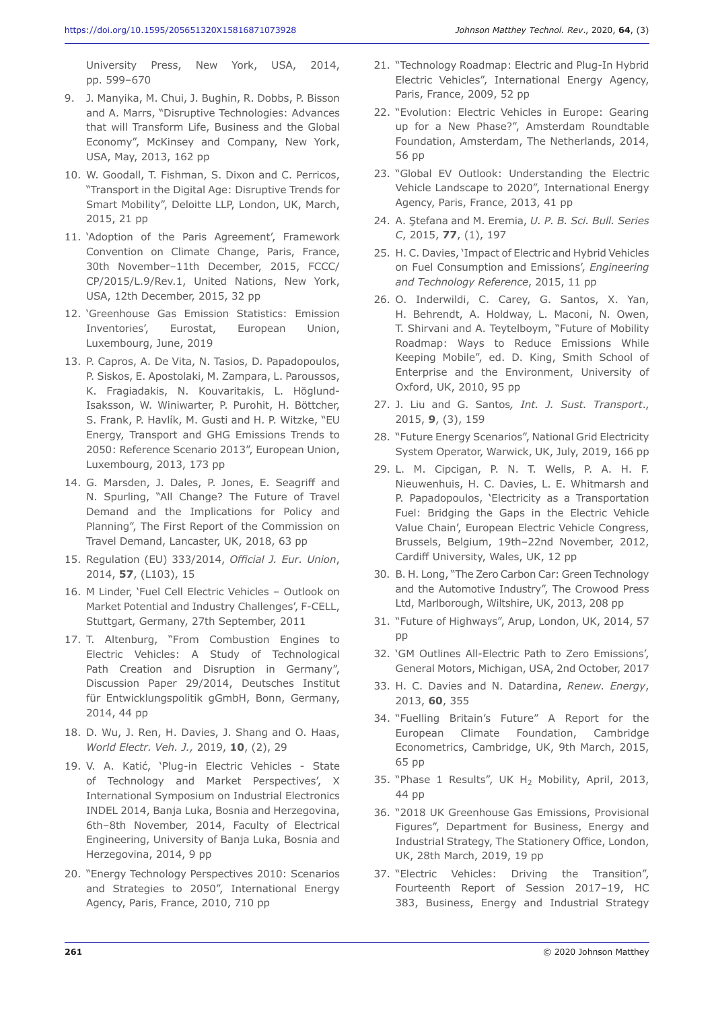University Press, New York, USA, 2014, pp. 599–670

- 9. J. Manyika, M. Chui, J. Bughin, R. Dobbs, P. Bisson and A. Marrs, "Disruptive Technologies: Advances that will Transform Life, Business and the Global Economy", McKinsey and Company, New York, USA, May, 2013, 162 pp
- 10. W. Goodall, T. Fishman, S. Dixon and C. Perricos, "Transport in the Digital Age: Disruptive Trends for Smart Mobility", Deloitte LLP, London, UK, March, 2015, 21 pp
- 11. 'Adoption of the Paris Agreement', Framework Convention on Climate Change, Paris, France, 30th November–11th December, 2015, FCCC/ CP/2015/L.9/Rev.1, United Nations, New York, USA, 12th December, 2015, 32 pp
- 12. 'Greenhouse Gas Emission Statistics: Emission Inventories', Eurostat, European Union, Luxembourg, June, 2019
- 13. P. Capros, A. De Vita, N. Tasios, D. Papadopoulos, P. Siskos, E. Apostolaki, M. Zampara, L. Paroussos, K. Fragiadakis, N. Kouvaritakis, L. Höglund-Isaksson, W. Winiwarter, P. Purohit, H. Böttcher, S. Frank, P. Havlík, M. Gusti and H. P. Witzke, "EU Energy, Transport and GHG Emissions Trends to 2050: Reference Scenario 2013", European Union, Luxembourg, 2013, 173 pp
- 14. G. Marsden, J. Dales, P. Jones, E. Seagriff and N. Spurling, "All Change? The Future of Travel Demand and the Implications for Policy and Planning", The First Report of the Commission on Travel Demand, Lancaster, UK, 2018, 63 pp
- 15. Regulation (EU) 333/2014, *Official J. Eur. Union*, 2014, **57**, (L103), 15
- 16. M Linder, 'Fuel Cell Electric Vehicles Outlook on Market Potential and Industry Challenges', F-CELL, Stuttgart, Germany, 27th September, 2011
- 17. T. Altenburg, "From Combustion Engines to Electric Vehicles: A Study of Technological Path Creation and Disruption in Germany", Discussion Paper 29/2014, Deutsches Institut für Entwicklungspolitik gGmbH, Bonn, Germany, 2014, 44 pp
- 18. D. Wu, J. Ren, H. Davies, J. Shang and O. Haas, *World Electr. Veh. J.,* 2019, **10**, (2), 29
- 19. V. A. Katić, 'Plug-in Electric Vehicles State of Technology and Market Perspectives', X International Symposium on Industrial Electronics INDEL 2014, Banja Luka, Bosnia and Herzegovina, 6th–8th November, 2014, Faculty of Electrical Engineering, University of Banja Luka, Bosnia and Herzegovina, 2014, 9 pp
- 20. "Energy Technology Perspectives 2010: Scenarios and Strategies to 2050", International Energy Agency, Paris, France, 2010, 710 pp
- 21. "Technology Roadmap: Electric and Plug-In Hybrid Electric Vehicles", International Energy Agency, Paris, France, 2009, 52 pp
- 22. "Evolution: Electric Vehicles in Europe: Gearing up for a New Phase?", Amsterdam Roundtable Foundation, Amsterdam, The Netherlands, 2014, 56 pp
- 23. "Global EV Outlook: Understanding the Electric Vehicle Landscape to 2020", International Energy Agency, Paris, France, 2013, 41 pp
- 24. A. Ştefana and M. Eremia, *U. P. B. Sci. Bull. Series C*, 2015, **77**, (1), 197
- 25. H. C. Davies, 'Impact of Electric and Hybrid Vehicles on Fuel Consumption and Emissions', *Engineering and Technology Reference*, 2015, 11 pp
- 26. O. Inderwildi, C. Carey, G. Santos, X. Yan, H. Behrendt, A. Holdway, L. Maconi, N. Owen, T. Shirvani and A. Teytelboym, "Future of Mobility Roadmap: Ways to Reduce Emissions While Keeping Mobile", ed. D. King, Smith School of Enterprise and the Environment, University of Oxford, UK, 2010, 95 pp
- 27. J. Liu and G. Santos*, Int. J. Sust. Transport*., 2015, **9**, (3), 159
- 28. "Future Energy Scenarios", National Grid Electricity System Operator, Warwick, UK, July, 2019, 166 pp
- 29. L. M. Cipcigan, P. N. T. Wells, P. A. H. F. Nieuwenhuis, H. C. Davies, L. E. Whitmarsh and P. Papadopoulos, 'Electricity as a Transportation Fuel: Bridging the Gaps in the Electric Vehicle Value Chain', European Electric Vehicle Congress, Brussels, Belgium, 19th–22nd November, 2012, Cardiff University, Wales, UK, 12 pp
- 30. B. H. Long, "The Zero Carbon Car: Green Technology and the Automotive Industry", The Crowood Press Ltd, Marlborough, Wiltshire, UK, 2013, 208 pp
- 31. "Future of Highways", Arup, London, UK, 2014, 57 pp
- 32. 'GM Outlines All-Electric Path to Zero Emissions', General Motors, Michigan, USA, 2nd October, 2017
- 33. H. C. Davies and N. Datardina, *Renew. Energy*, 2013, **60**, 355
- 34. "Fuelling Britain's Future" A Report for the European Climate Foundation, Cambridge Econometrics, Cambridge, UK, 9th March, 2015, 65 pp
- 35. "Phase 1 Results", UK H2 Mobility, April, 2013, 44 pp
- 36. "2018 UK Greenhouse Gas Emissions, Provisional Figures", Department for Business, Energy and Industrial Strategy, The Stationery Office, London, UK, 28th March, 2019, 19 pp
- 37. "Electric Vehicles: Driving the Transition", Fourteenth Report of Session 2017–19, HC 383, Business, Energy and Industrial Strategy